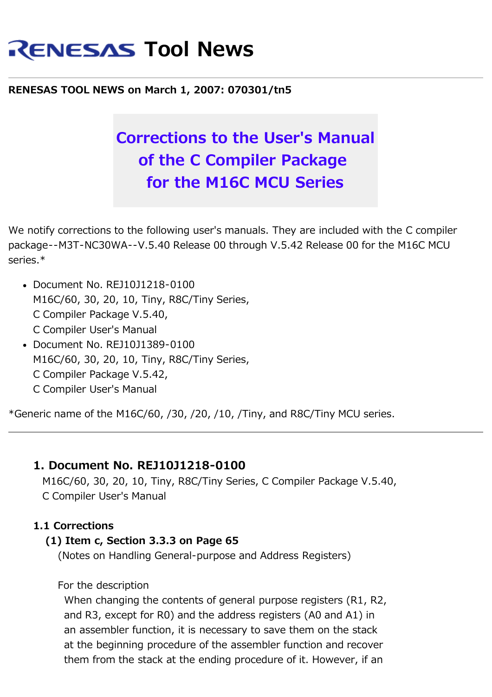# **RENESAS Tool News**

# **RENESAS TOOL NEWS on March 1, 2007: 070301/tn5**

# **Corrections to the User's Manual of the C Compiler Package for the M16C MCU Series**

We notify corrections to the following user's manuals. They are included with the C compiler package--M3T-NC30WA--V.5.40 Release 00 through V.5.42 Release 00 for the M16C MCU series.\*

- Document No. REJ10J1218-0100 M16C/60, 30, 20, 10, Tiny, R8C/Tiny Series, C Compiler Package V.5.40, C Compiler User's Manual
- Document No. REJ10J1389-0100 M16C/60, 30, 20, 10, Tiny, R8C/Tiny Series, C Compiler Package V.5.42, C Compiler User's Manual

\*Generic name of the M16C/60, /30, /20, /10, /Tiny, and R8C/Tiny MCU series.

# **1. Document No. REJ10J1218-0100**

 M16C/60, 30, 20, 10, Tiny, R8C/Tiny Series, C Compiler Package V.5.40, C Compiler User's Manual

#### **1.1 Corrections**

#### **(1) Item c, Section 3.3.3 on Page 65**

(Notes on Handling General-purpose and Address Registers)

For the description

 When changing the contents of general purpose registers (R1, R2, and R3, except for R0) and the address registers (A0 and A1) in an assembler function, it is necessary to save them on the stack at the beginning procedure of the assembler function and recover them from the stack at the ending procedure of it. However, if an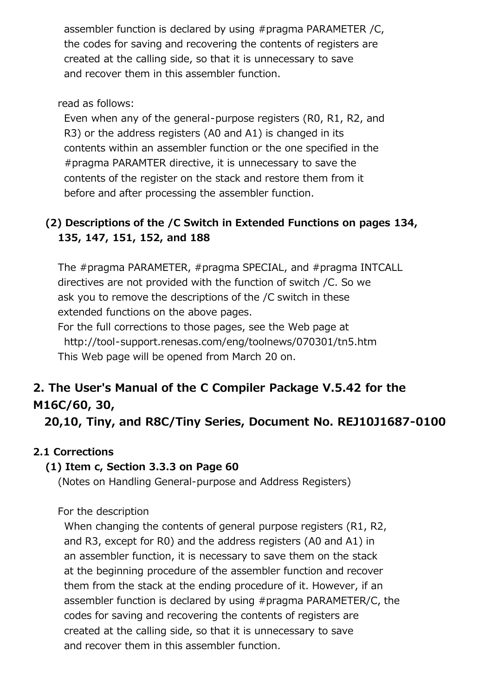assembler function is declared by using #pragma PARAMETER /C, the codes for saving and recovering the contents of registers are created at the calling side, so that it is unnecessary to save and recover them in this assembler function.

#### read as follows:

 Even when any of the general-purpose registers (R0, R1, R2, and R3) or the address registers (A0 and A1) is changed in its contents within an assembler function or the one specified in the #pragma PARAMTER directive, it is unnecessary to save the contents of the register on the stack and restore them from it before and after processing the assembler function.

# **(2) Descriptions of the /C Switch in Extended Functions on pages 134, 135, 147, 151, 152, and 188**

 The #pragma PARAMETER, #pragma SPECIAL, and #pragma INTCALL directives are not provided with the function of switch /C. So we ask you to remove the descriptions of the /C switch in these extended functions on the above pages.

 For the full corrections to those pages, see the Web page at http://tool-support.renesas.com/eng/toolnews/070301/tn5.htm This Web page will be opened from March 20 on.

# **2. The User's Manual of the C Compiler Package V.5.42 for the M16C/60, 30,**

 **20,10, Tiny, and R8C/Tiny Series, Document No. REJ10J1687-0100**

# **2.1 Corrections**

# **(1) Item c, Section 3.3.3 on Page 60**

(Notes on Handling General-purpose and Address Registers)

For the description

 When changing the contents of general purpose registers (R1, R2, and R3, except for R0) and the address registers (A0 and A1) in an assembler function, it is necessary to save them on the stack at the beginning procedure of the assembler function and recover them from the stack at the ending procedure of it. However, if an assembler function is declared by using #pragma PARAMETER/C, the codes for saving and recovering the contents of registers are created at the calling side, so that it is unnecessary to save and recover them in this assembler function.